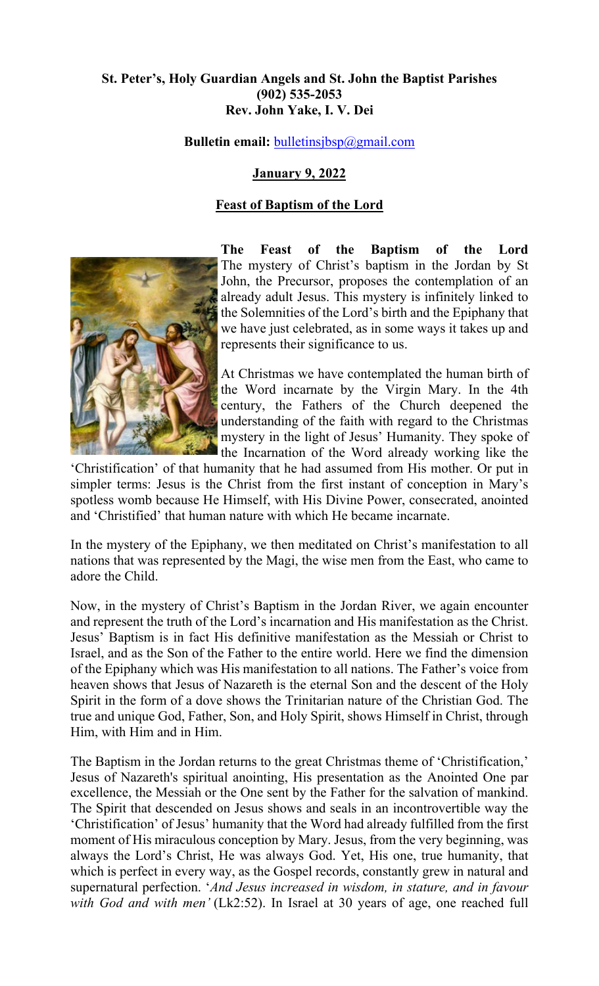## **St. Peter's, Holy Guardian Angels and St. John the Baptist Parishes (902) 535-2053 Rev. John Yake, I. V. Dei**

**Bulletin email:** [bulletinsjbsp@gmail.com](mailto:bulletinsjbsp@gmail.com)

# **January 9, 2022**

## **Feast of Baptism of the Lord**



**The Feast of the Baptism of the Lord** The mystery of Christ's baptism in the Jordan by St John, the Precursor, proposes the contemplation of an already adult Jesus. This mystery is infinitely linked to the Solemnities of the Lord's birth and the Epiphany that we have just celebrated, as in some ways it takes up and represents their significance to us.

At Christmas we have contemplated the human birth of the Word incarnate by the Virgin Mary. In the 4th century, the Fathers of the Church deepened the understanding of the faith with regard to the Christmas mystery in the light of Jesus' Humanity. They spoke of the Incarnation of the Word already working like the

'Christification' of that humanity that he had assumed from His mother. Or put in simpler terms: Jesus is the Christ from the first instant of conception in Mary's spotless womb because He Himself, with His Divine Power, consecrated, anointed and 'Christified' that human nature with which He became incarnate.

In the mystery of the Epiphany, we then meditated on Christ's manifestation to all nations that was represented by the Magi, the wise men from the East, who came to adore the Child.

Now, in the mystery of Christ's Baptism in the Jordan River, we again encounter and represent the truth of the Lord's incarnation and His manifestation as the Christ. Jesus' Baptism is in fact His definitive manifestation as the Messiah or Christ to Israel, and as the Son of the Father to the entire world. Here we find the dimension of the Epiphany which was His manifestation to all nations. The Father's voice from heaven shows that Jesus of Nazareth is the eternal Son and the descent of the Holy Spirit in the form of a dove shows the Trinitarian nature of the Christian God. The true and unique God, Father, Son, and Holy Spirit, shows Himself in Christ, through Him, with Him and in Him.

The Baptism in the Jordan returns to the great Christmas theme of 'Christification,' Jesus of Nazareth's spiritual anointing, His presentation as the Anointed One par excellence, the Messiah or the One sent by the Father for the salvation of mankind. The Spirit that descended on Jesus shows and seals in an incontrovertible way the 'Christification' of Jesus' humanity that the Word had already fulfilled from the first moment of His miraculous conception by Mary. Jesus, from the very beginning, was always the Lord's Christ, He was always God. Yet, His one, true humanity, that which is perfect in every way, as the Gospel records, constantly grew in natural and supernatural perfection. '*And Jesus increased in wisdom, in stature, and in favour with God and with men'* (Lk2:52). In Israel at 30 years of age, one reached full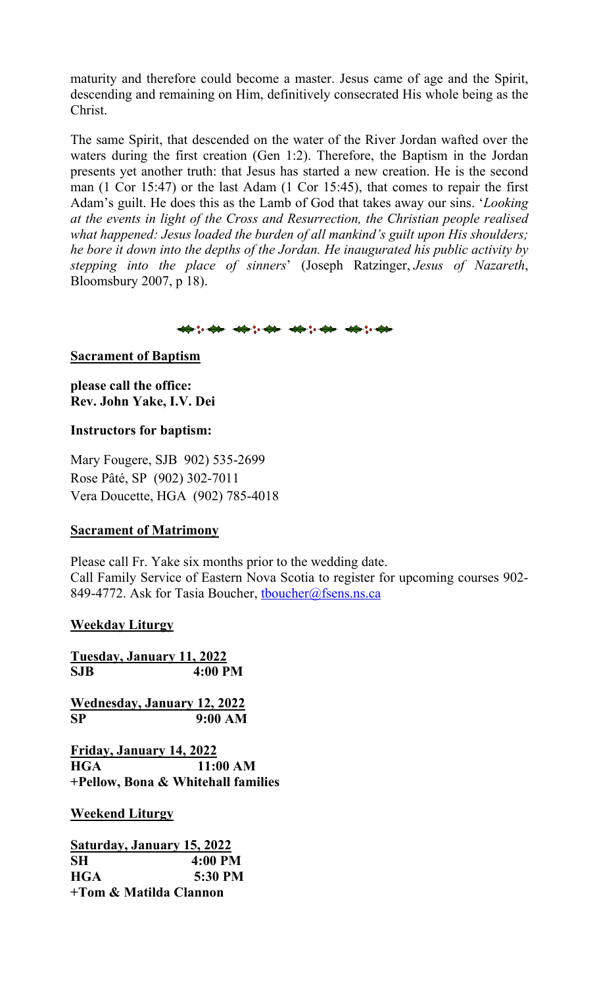maturity and therefore could become a master. Jesus came of age and the Spirit, descending and remaining on Him, definitively consecrated His whole being as the Christ.

The same Spirit, that descended on the water of the River Jordan wafted over the waters during the first creation (Gen 1:2). Therefore, the Baptism in the Jordan presents yet another truth: that Jesus has started a new creation. He is the second man (1 Cor 15:47) or the last Adam (1 Cor 15:45), that comes to repair the first Adam's guilt. He does this as the Lamb of God that takes away our sins. '*Looking at the events in light of the Cross and Resurrection, the Christian people realised what happened: Jesus loaded the burden of all mankind's guilt upon His shoulders; he bore it down into the depths of the Jordan. He inaugurated his public activity by stepping into the place of sinners*' (Joseph Ratzinger, *Jesus of Nazareth*, Bloomsbury 2007, p 18).

\*\*\*\* \*\*\*\* \*\*\*\* \*\*\*

## **Sacrament of Baptism**

**please call the office: Rev. John Yake, I.V. Dei** 

### **Instructors for baptism:**

Mary Fougere, SJB 902) 535-2699 Rose Pâté, SP (902) 302-7011 Vera Doucette, HGA (902) 785-4018

### **Sacrament of Matrimony**

Please call Fr. Yake six months prior to the wedding date. Call Family Service of Eastern Nova Scotia to register for upcoming courses 902- 849-4772. Ask for Tasia Boucher, thoucher@fsens.ns.ca

### **Weekday Liturgy**

**Tuesday, January 11, 2022 SJB 4:00 PM**

**Wednesday, January 12, 2022 SP 9:00 AM**

**Friday, January 14, 2022 HGA 11:00 AM +Pellow, Bona & Whitehall families**

**Weekend Liturgy**

**Saturday, January 15, 2022 SH 4:00 PM HGA 5:30 PM +Tom & Matilda Clannon**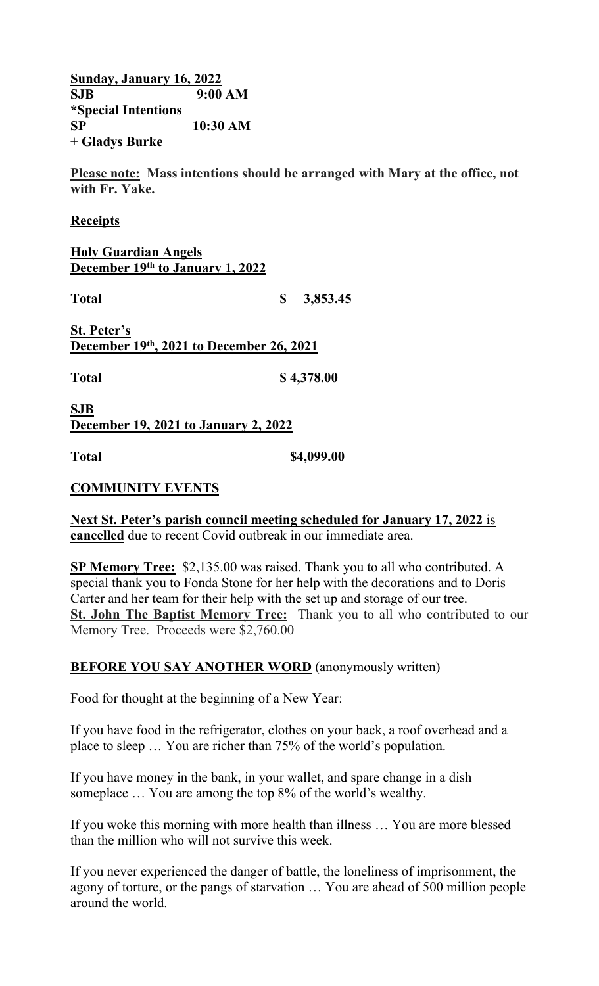**Sunday, January 16, 2022 SJB 9:00 AM \*Special Intentions SP 10:30 AM + Gladys Burke**

**Please note: Mass intentions should be arranged with Mary at the office, not with Fr. Yake.** 

#### **Receipts**

**Holy Guardian Angels December 19th to January 1, 2022**

**Total \$ 3,853.45**

**St. Peter's December 19th, 2021 to December 26, 2021**

**Total \$ 4,378.00** 

**SJB December 19, 2021 to January 2, 2022**

**Total \$4,099.00** 

### **COMMUNITY EVENTS**

**Next St. Peter's parish council meeting scheduled for January 17, 2022** is **cancelled** due to recent Covid outbreak in our immediate area.

**SP Memory Tree:** \$2,135.00 was raised. Thank you to all who contributed. A special thank you to Fonda Stone for her help with the decorations and to Doris Carter and her team for their help with the set up and storage of our tree. **St. John The Baptist Memory Tree:** Thank you to all who contributed to our Memory Tree. Proceeds were \$2,760.00

### **BEFORE YOU SAY ANOTHER WORD** (anonymously written)

Food for thought at the beginning of a New Year:

If you have food in the refrigerator, clothes on your back, a roof overhead and a place to sleep … You are richer than 75% of the world's population.

If you have money in the bank, in your wallet, and spare change in a dish someplace … You are among the top 8% of the world's wealthy.

If you woke this morning with more health than illness … You are more blessed than the million who will not survive this week.

If you never experienced the danger of battle, the loneliness of imprisonment, the agony of torture, or the pangs of starvation … You are ahead of 500 million people around the world.